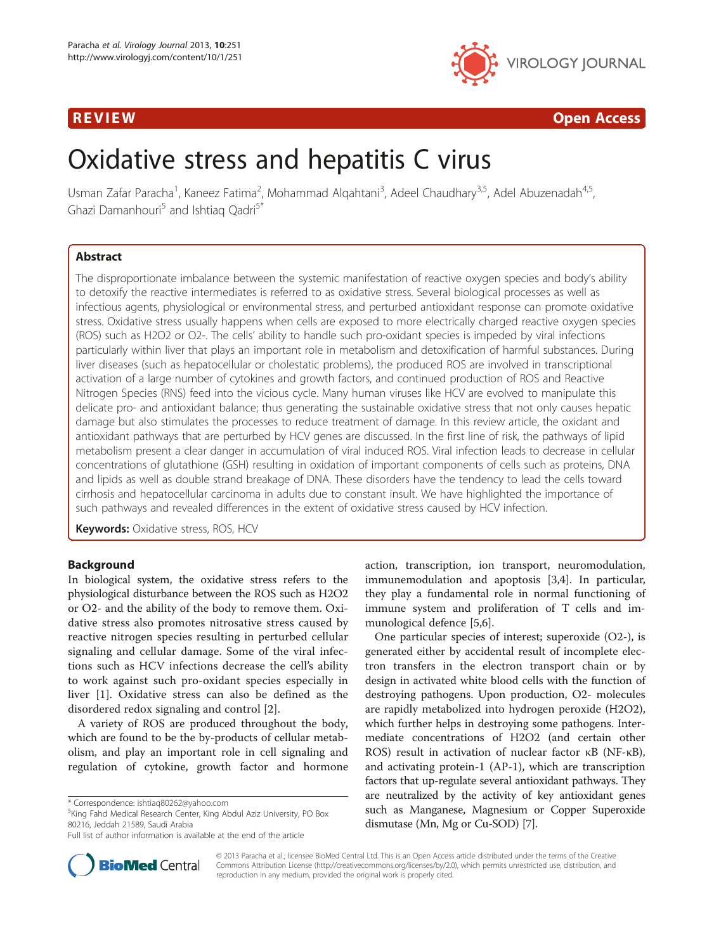

# R EVI EW Open Access

# Oxidative stress and hepatitis C virus

Usman Zafar Paracha<sup>1</sup>, Kaneez Fatima<sup>2</sup>, Mohammad Alqahtani<sup>3</sup>, Adeel Chaudhary<sup>3,5</sup>, Adel Abuzenadah<sup>4,5</sup>, Ghazi Damanhouri<sup>5</sup> and Ishtiaq Qadri<sup>5\*</sup>

# Abstract

The disproportionate imbalance between the systemic manifestation of reactive oxygen species and body's ability to detoxify the reactive intermediates is referred to as oxidative stress. Several biological processes as well as infectious agents, physiological or environmental stress, and perturbed antioxidant response can promote oxidative stress. Oxidative stress usually happens when cells are exposed to more electrically charged reactive oxygen species (ROS) such as H2O2 or O2-. The cells' ability to handle such pro-oxidant species is impeded by viral infections particularly within liver that plays an important role in metabolism and detoxification of harmful substances. During liver diseases (such as hepatocellular or cholestatic problems), the produced ROS are involved in transcriptional activation of a large number of cytokines and growth factors, and continued production of ROS and Reactive Nitrogen Species (RNS) feed into the vicious cycle. Many human viruses like HCV are evolved to manipulate this delicate pro- and antioxidant balance; thus generating the sustainable oxidative stress that not only causes hepatic damage but also stimulates the processes to reduce treatment of damage. In this review article, the oxidant and antioxidant pathways that are perturbed by HCV genes are discussed. In the first line of risk, the pathways of lipid metabolism present a clear danger in accumulation of viral induced ROS. Viral infection leads to decrease in cellular concentrations of glutathione (GSH) resulting in oxidation of important components of cells such as proteins, DNA and lipids as well as double strand breakage of DNA. These disorders have the tendency to lead the cells toward cirrhosis and hepatocellular carcinoma in adults due to constant insult. We have highlighted the importance of such pathways and revealed differences in the extent of oxidative stress caused by HCV infection.

**Keywords:** Oxidative stress, ROS, HCV

# Background

In biological system, the oxidative stress refers to the physiological disturbance between the ROS such as H2O2 or O2- and the ability of the body to remove them. Oxidative stress also promotes nitrosative stress caused by reactive nitrogen species resulting in perturbed cellular signaling and cellular damage. Some of the viral infections such as HCV infections decrease the cell's ability to work against such pro-oxidant species especially in liver [\[1](#page-6-0)]. Oxidative stress can also be defined as the disordered redox signaling and control [\[2](#page-6-0)].

A variety of ROS are produced throughout the body, which are found to be the by-products of cellular metabolism, and play an important role in cell signaling and regulation of cytokine, growth factor and hormone

<sup>5</sup>King Fahd Medical Research Center, King Abdul Aziz University, PO Box 80216, Jeddah 21589, Saudi Arabia



One particular species of interest; superoxide (O2-), is generated either by accidental result of incomplete electron transfers in the electron transport chain or by design in activated white blood cells with the function of destroying pathogens. Upon production, O2- molecules are rapidly metabolized into hydrogen peroxide (H2O2), which further helps in destroying some pathogens. Intermediate concentrations of H2O2 (and certain other ROS) result in activation of nuclear factor κB (NF-κB), and activating protein-1 (AP-1), which are transcription factors that up-regulate several antioxidant pathways. They are neutralized by the activity of key antioxidant genes such as Manganese, Magnesium or Copper Superoxide dismutase (Mn, Mg or Cu-SOD) [[7\]](#page-6-0).



© 2013 Paracha et al.; licensee BioMed Central Ltd. This is an Open Access article distributed under the terms of the Creative Commons Attribution License [\(http://creativecommons.org/licenses/by/2.0\)](http://creativecommons.org/licenses/by/2.0), which permits unrestricted use, distribution, and reproduction in any medium, provided the original work is properly cited.

<sup>\*</sup> Correspondence: [ishtiaq80262@yahoo.com](mailto:ishtiaq80262@yahoo.com) <sup>5</sup>

Full list of author information is available at the end of the article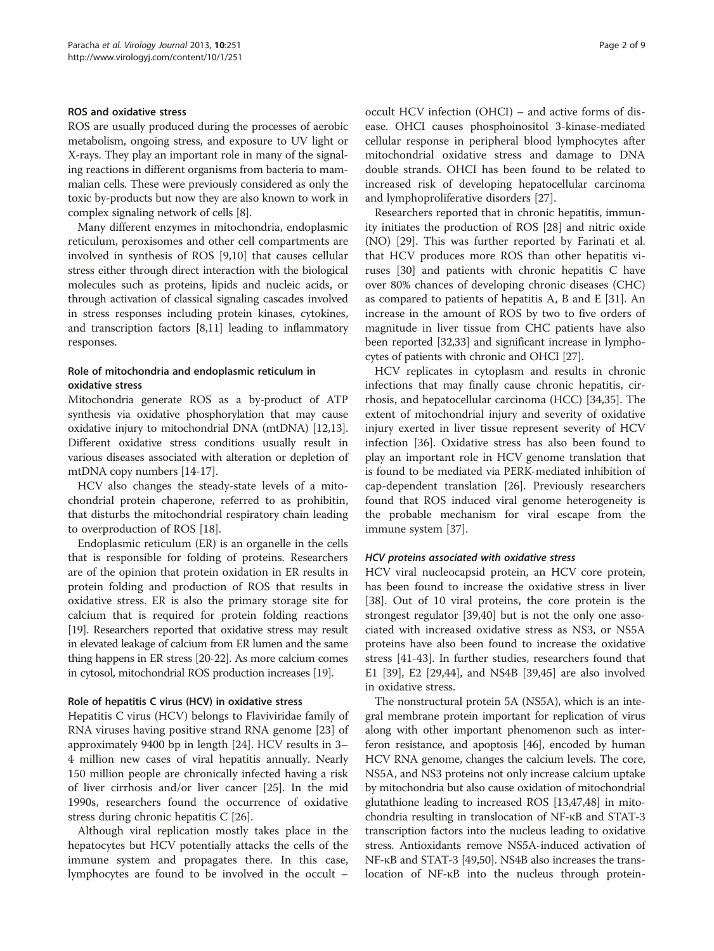#### ROS and oxidative stress

ROS are usually produced during the processes of aerobic metabolism, ongoing stress, and exposure to UV light or X-rays. They play an important role in many of the signaling reactions in different organisms from bacteria to mammalian cells. These were previously considered as only the toxic by-products but now they are also known to work in complex signaling network of cells [\[8\]](#page-6-0).

Many different enzymes in mitochondria, endoplasmic reticulum, peroxisomes and other cell compartments are involved in synthesis of ROS [\[9,10\]](#page-6-0) that causes cellular stress either through direct interaction with the biological molecules such as proteins, lipids and nucleic acids, or through activation of classical signaling cascades involved in stress responses including protein kinases, cytokines, and transcription factors [[8,11](#page-6-0)] leading to inflammatory responses.

# Role of mitochondria and endoplasmic reticulum in oxidative stress

Mitochondria generate ROS as a by-product of ATP synthesis via oxidative phosphorylation that may cause oxidative injury to mitochondrial DNA (mtDNA) [\[12,13](#page-6-0)]. Different oxidative stress conditions usually result in various diseases associated with alteration or depletion of mtDNA copy numbers [\[14-17\]](#page-6-0).

HCV also changes the steady-state levels of a mitochondrial protein chaperone, referred to as prohibitin, that disturbs the mitochondrial respiratory chain leading to overproduction of ROS [[18](#page-6-0)].

Endoplasmic reticulum (ER) is an organelle in the cells that is responsible for folding of proteins. Researchers are of the opinion that protein oxidation in ER results in protein folding and production of ROS that results in oxidative stress. ER is also the primary storage site for calcium that is required for protein folding reactions [[19](#page-6-0)]. Researchers reported that oxidative stress may result in elevated leakage of calcium from ER lumen and the same thing happens in ER stress [\[20](#page-6-0)-[22](#page-6-0)]. As more calcium comes in cytosol, mitochondrial ROS production increases [\[19\]](#page-6-0).

#### Role of hepatitis C virus (HCV) in oxidative stress

Hepatitis C virus (HCV) belongs to Flaviviridae family of RNA viruses having positive strand RNA genome [\[23](#page-6-0)] of approximately 9400 bp in length [\[24](#page-6-0)]. HCV results in 3– 4 million new cases of viral hepatitis annually. Nearly 150 million people are chronically infected having a risk of liver cirrhosis and/or liver cancer [[25](#page-6-0)]. In the mid 1990s, researchers found the occurrence of oxidative stress during chronic hepatitis C [\[26\]](#page-6-0).

Although viral replication mostly takes place in the hepatocytes but HCV potentially attacks the cells of the immune system and propagates there. In this case, lymphocytes are found to be involved in the occult –

occult HCV infection (OHCI) – and active forms of disease. OHCI causes phosphoinositol 3-kinase-mediated cellular response in peripheral blood lymphocytes after mitochondrial oxidative stress and damage to DNA double strands. OHCI has been found to be related to increased risk of developing hepatocellular carcinoma and lymphoproliferative disorders [\[27\]](#page-6-0).

Researchers reported that in chronic hepatitis, immunity initiates the production of ROS [\[28\]](#page-6-0) and nitric oxide (NO) [[29\]](#page-6-0). This was further reported by Farinati et al. that HCV produces more ROS than other hepatitis viruses [[30\]](#page-6-0) and patients with chronic hepatitis C have over 80% chances of developing chronic diseases (CHC) as compared to patients of hepatitis A, B and E [[31\]](#page-6-0). An increase in the amount of ROS by two to five orders of magnitude in liver tissue from CHC patients have also been reported [[32,33\]](#page-6-0) and significant increase in lymphocytes of patients with chronic and OHCI [\[27\]](#page-6-0).

HCV replicates in cytoplasm and results in chronic infections that may finally cause chronic hepatitis, cirrhosis, and hepatocellular carcinoma (HCC) [\[34,35](#page-6-0)]. The extent of mitochondrial injury and severity of oxidative injury exerted in liver tissue represent severity of HCV infection [\[36](#page-6-0)]. Oxidative stress has also been found to play an important role in HCV genome translation that is found to be mediated via PERK-mediated inhibition of cap-dependent translation [[26\]](#page-6-0). Previously researchers found that ROS induced viral genome heterogeneity is the probable mechanism for viral escape from the immune system [[37](#page-6-0)].

### HCV proteins associated with oxidative stress

HCV viral nucleocapsid protein, an HCV core protein, has been found to increase the oxidative stress in liver [[38\]](#page-6-0). Out of 10 viral proteins, the core protein is the strongest regulator [\[39,40\]](#page-6-0) but is not the only one associated with increased oxidative stress as NS3, or NS5A proteins have also been found to increase the oxidative stress [\[41-](#page-6-0)[43](#page-7-0)]. In further studies, researchers found that E1 [\[39](#page-6-0)], E2 [[29,](#page-6-0)[44\]](#page-7-0), and NS4B [\[39](#page-6-0)[,45\]](#page-7-0) are also involved in oxidative stress.

The nonstructural protein 5A (NS5A), which is an integral membrane protein important for replication of virus along with other important phenomenon such as interferon resistance, and apoptosis [[46](#page-7-0)], encoded by human HCV RNA genome, changes the calcium levels. The core, NS5A, and NS3 proteins not only increase calcium uptake by mitochondria but also cause oxidation of mitochondrial glutathione leading to increased ROS [[13](#page-6-0)[,47,48\]](#page-7-0) in mitochondria resulting in translocation of NF-κB and STAT-3 transcription factors into the nucleus leading to oxidative stress. Antioxidants remove NS5A-induced activation of NF-κB and STAT-3 [\[49,50](#page-7-0)]. NS4B also increases the translocation of NF-κB into the nucleus through protein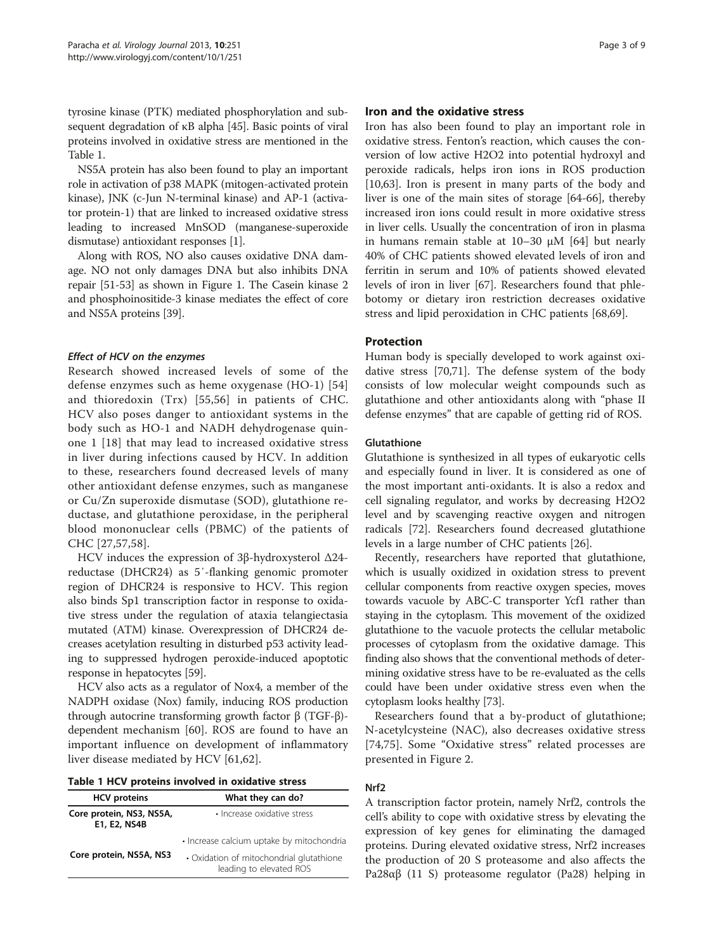tyrosine kinase (PTK) mediated phosphorylation and subsequent degradation of κB alpha [[45\]](#page-7-0). Basic points of viral proteins involved in oxidative stress are mentioned in the Table 1.

NS5A protein has also been found to play an important role in activation of p38 MAPK (mitogen-activated protein kinase), JNK (c-Jun N-terminal kinase) and AP-1 (activator protein-1) that are linked to increased oxidative stress leading to increased MnSOD (manganese-superoxide dismutase) antioxidant responses [[1](#page-6-0)].

Along with ROS, NO also causes oxidative DNA damage. NO not only damages DNA but also inhibits DNA repair [[51](#page-7-0)-[53](#page-7-0)] as shown in Figure [1.](#page-3-0) The Casein kinase 2 and phosphoinositide-3 kinase mediates the effect of core and NS5A proteins [\[39\]](#page-6-0).

## Effect of HCV on the enzymes

Research showed increased levels of some of the defense enzymes such as heme oxygenase (HO-1) [\[54](#page-7-0)] and thioredoxin (Trx) [[55,56\]](#page-7-0) in patients of CHC. HCV also poses danger to antioxidant systems in the body such as HO-1 and NADH dehydrogenase quinone 1 [[18](#page-6-0)] that may lead to increased oxidative stress in liver during infections caused by HCV. In addition to these, researchers found decreased levels of many other antioxidant defense enzymes, such as manganese or Cu/Zn superoxide dismutase (SOD), glutathione reductase, and glutathione peroxidase, in the peripheral blood mononuclear cells (PBMC) of the patients of CHC [[27](#page-6-0),[57,58](#page-7-0)].

HCV induces the expression of 3β-hydroxysterol Δ24 reductase (DHCR24) as 5′-flanking genomic promoter region of DHCR24 is responsive to HCV. This region also binds Sp1 transcription factor in response to oxidative stress under the regulation of ataxia telangiectasia mutated (ATM) kinase. Overexpression of DHCR24 decreases acetylation resulting in disturbed p53 activity leading to suppressed hydrogen peroxide-induced apoptotic response in hepatocytes [\[59\]](#page-7-0).

HCV also acts as a regulator of Nox4, a member of the NADPH oxidase (Nox) family, inducing ROS production through autocrine transforming growth factor β (TGF-β) dependent mechanism [[60\]](#page-7-0). ROS are found to have an important influence on development of inflammatory liver disease mediated by HCV [\[61](#page-7-0),[62\]](#page-7-0).

| Table 1 HCV proteins involved in oxidative stress |  |  |  |  |  |
|---------------------------------------------------|--|--|--|--|--|
|---------------------------------------------------|--|--|--|--|--|

| <b>HCV</b> proteins                      | What they can do?                                                   |  |  |
|------------------------------------------|---------------------------------------------------------------------|--|--|
| Core protein, NS3, NS5A,<br>E1, E2, NS4B | · Increase oxidative stress                                         |  |  |
|                                          | • Increase calcium uptake by mitochondria                           |  |  |
| Core protein, NS5A, NS3                  | • Oxidation of mitochondrial glutathione<br>leading to elevated ROS |  |  |

### Iron and the oxidative stress

Iron has also been found to play an important role in oxidative stress. Fenton's reaction, which causes the conversion of low active H2O2 into potential hydroxyl and peroxide radicals, helps iron ions in ROS production [[10,](#page-6-0)[63\]](#page-7-0). Iron is present in many parts of the body and liver is one of the main sites of storage [[64-66](#page-7-0)], thereby increased iron ions could result in more oxidative stress in liver cells. Usually the concentration of iron in plasma in humans remain stable at 10–30 μM [\[64](#page-7-0)] but nearly 40% of CHC patients showed elevated levels of iron and ferritin in serum and 10% of patients showed elevated levels of iron in liver [\[67](#page-7-0)]. Researchers found that phlebotomy or dietary iron restriction decreases oxidative stress and lipid peroxidation in CHC patients [[68,69\]](#page-7-0).

#### Protection

Human body is specially developed to work against oxidative stress [\[70,71\]](#page-7-0). The defense system of the body consists of low molecular weight compounds such as glutathione and other antioxidants along with "phase II defense enzymes" that are capable of getting rid of ROS.

#### Glutathione

Glutathione is synthesized in all types of eukaryotic cells and especially found in liver. It is considered as one of the most important anti-oxidants. It is also a redox and cell signaling regulator, and works by decreasing H2O2 level and by scavenging reactive oxygen and nitrogen radicals [\[72\]](#page-7-0). Researchers found decreased glutathione levels in a large number of CHC patients [[26\]](#page-6-0).

Recently, researchers have reported that glutathione, which is usually oxidized in oxidation stress to prevent cellular components from reactive oxygen species, moves towards vacuole by ABC-C transporter Ycf1 rather than staying in the cytoplasm. This movement of the oxidized glutathione to the vacuole protects the cellular metabolic processes of cytoplasm from the oxidative damage. This finding also shows that the conventional methods of determining oxidative stress have to be re-evaluated as the cells could have been under oxidative stress even when the cytoplasm looks healthy [\[73\]](#page-7-0).

Researchers found that a by-product of glutathione; N-acetylcysteine (NAC), also decreases oxidative stress [[74,75](#page-7-0)]. Some "Oxidative stress" related processes are presented in Figure [2.](#page-3-0)

#### Nrf2

A transcription factor protein, namely Nrf2, controls the cell's ability to cope with oxidative stress by elevating the expression of key genes for eliminating the damaged proteins. During elevated oxidative stress, Nrf2 increases the production of 20 S proteasome and also affects the Pa28αβ (11 S) proteasome regulator (Pa28) helping in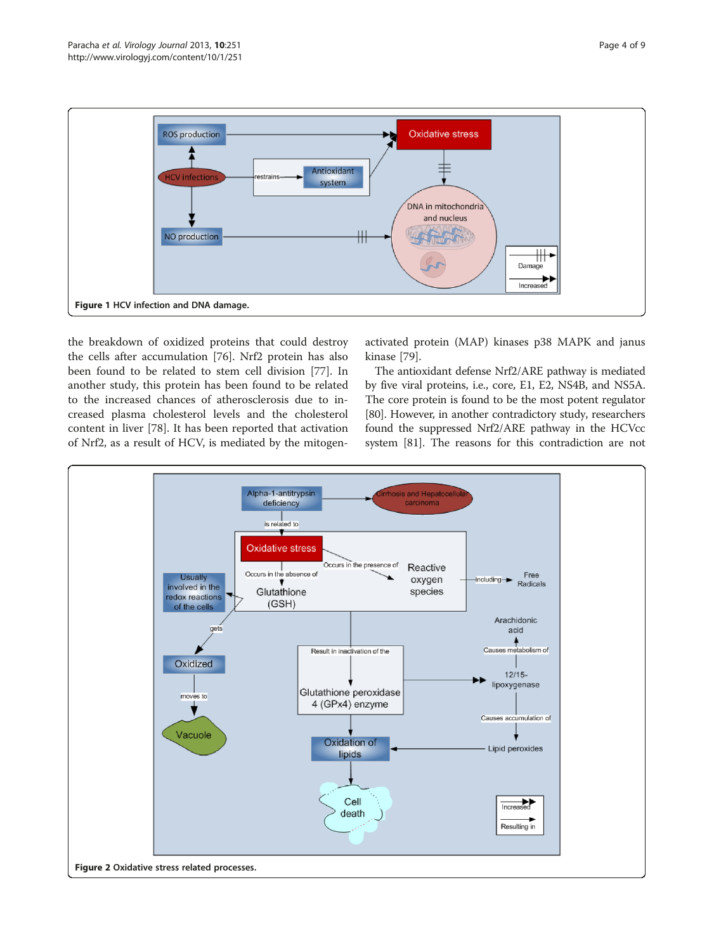<span id="page-3-0"></span>

the breakdown of oxidized proteins that could destroy the cells after accumulation [[76\]](#page-7-0). Nrf2 protein has also been found to be related to stem cell division [\[77](#page-7-0)]. In another study, this protein has been found to be related to the increased chances of atherosclerosis due to increased plasma cholesterol levels and the cholesterol content in liver [\[78](#page-7-0)]. It has been reported that activation of Nrf2, as a result of HCV, is mediated by the mitogen-

activated protein (MAP) kinases p38 MAPK and janus kinase [\[79](#page-7-0)].

The antioxidant defense Nrf2/ARE pathway is mediated by five viral proteins, i.e., core, E1, E2, NS4B, and NS5A. The core protein is found to be the most potent regulator [[80](#page-7-0)]. However, in another contradictory study, researchers found the suppressed Nrf2/ARE pathway in the HCVcc system [[81](#page-7-0)]. The reasons for this contradiction are not

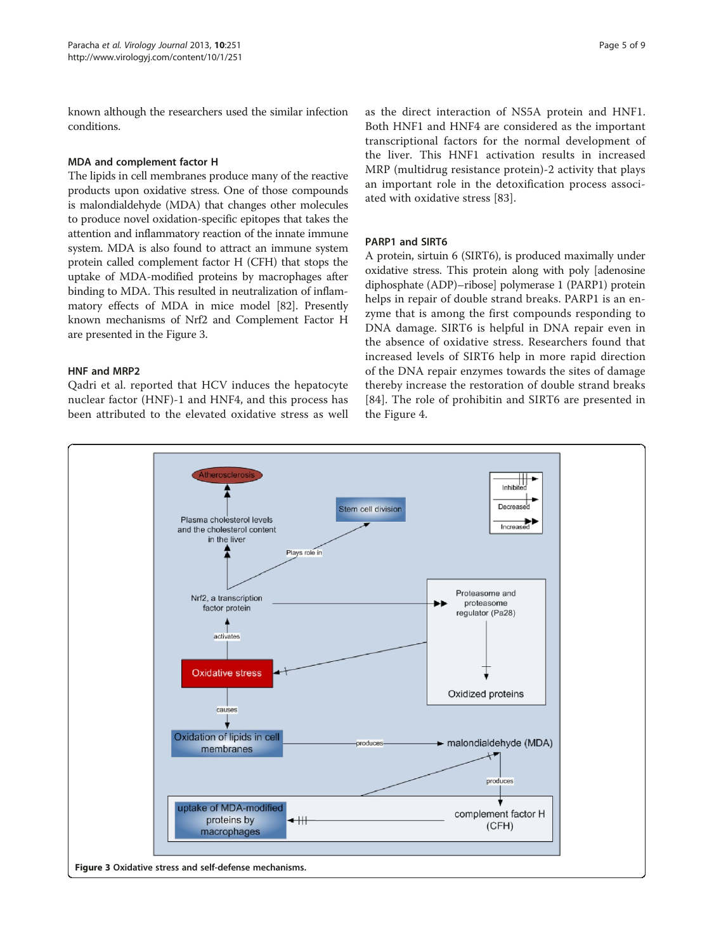known although the researchers used the similar infection conditions.

# MDA and complement factor H

The lipids in cell membranes produce many of the reactive products upon oxidative stress. One of those compounds is malondialdehyde (MDA) that changes other molecules to produce novel oxidation-specific epitopes that takes the attention and inflammatory reaction of the innate immune system. MDA is also found to attract an immune system protein called complement factor H (CFH) that stops the uptake of MDA-modified proteins by macrophages after binding to MDA. This resulted in neutralization of inflammatory effects of MDA in mice model [[82](#page-7-0)]. Presently known mechanisms of Nrf2 and Complement Factor H are presented in the Figure 3.

#### HNF and MRP2

Qadri et al. reported that HCV induces the hepatocyte nuclear factor (HNF)-1 and HNF4, and this process has been attributed to the elevated oxidative stress as well

as the direct interaction of NS5A protein and HNF1. Both HNF1 and HNF4 are considered as the important transcriptional factors for the normal development of the liver. This HNF1 activation results in increased MRP (multidrug resistance protein)-2 activity that plays an important role in the detoxification process associated with oxidative stress [\[83](#page-8-0)].

# PARP1 and SIRT6

A protein, sirtuin 6 (SIRT6), is produced maximally under oxidative stress. This protein along with poly [adenosine diphosphate (ADP)–ribose] polymerase 1 (PARP1) protein helps in repair of double strand breaks. PARP1 is an enzyme that is among the first compounds responding to DNA damage. SIRT6 is helpful in DNA repair even in the absence of oxidative stress. Researchers found that increased levels of SIRT6 help in more rapid direction of the DNA repair enzymes towards the sites of damage thereby increase the restoration of double strand breaks [[84](#page-8-0)]. The role of prohibitin and SIRT6 are presented in the Figure [4.](#page-5-0)

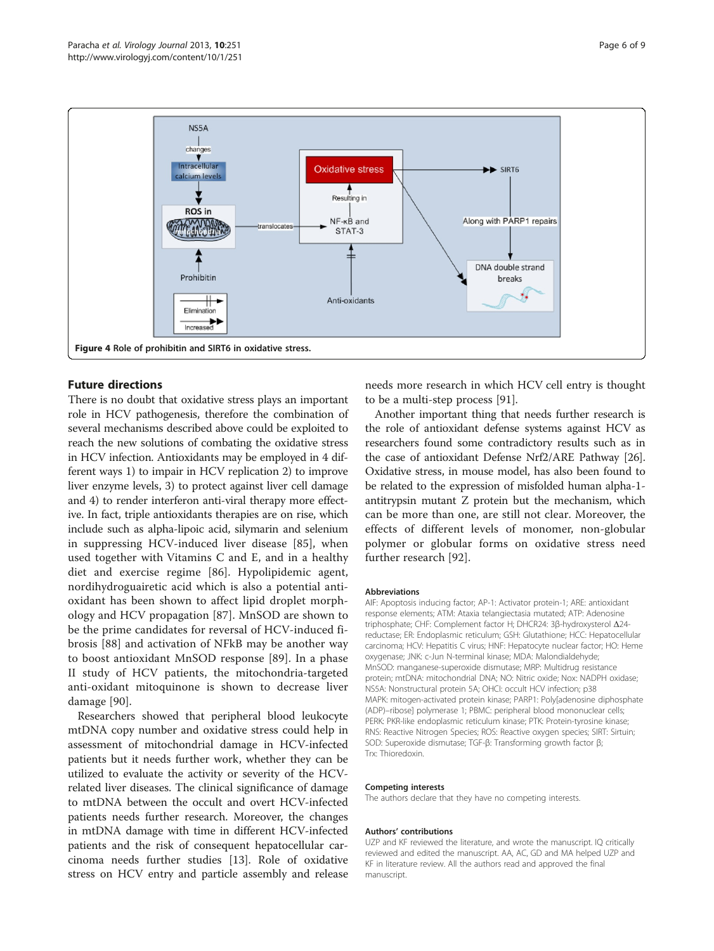<span id="page-5-0"></span>

# Future directions

There is no doubt that oxidative stress plays an important role in HCV pathogenesis, therefore the combination of several mechanisms described above could be exploited to reach the new solutions of combating the oxidative stress in HCV infection. Antioxidants may be employed in 4 different ways 1) to impair in HCV replication 2) to improve liver enzyme levels, 3) to protect against liver cell damage and 4) to render interferon anti-viral therapy more effective. In fact, triple antioxidants therapies are on rise, which include such as alpha-lipoic acid, silymarin and selenium in suppressing HCV-induced liver disease [[85\]](#page-8-0), when used together with Vitamins C and E, and in a healthy diet and exercise regime [[86\]](#page-8-0). Hypolipidemic agent, nordihydroguairetic acid which is also a potential antioxidant has been shown to affect lipid droplet morphology and HCV propagation [[87\]](#page-8-0). MnSOD are shown to be the prime candidates for reversal of HCV-induced fibrosis [[88\]](#page-8-0) and activation of NFkB may be another way to boost antioxidant MnSOD response [[89\]](#page-8-0). In a phase II study of HCV patients, the mitochondria-targeted anti-oxidant mitoquinone is shown to decrease liver damage [[90\]](#page-8-0).

Researchers showed that peripheral blood leukocyte mtDNA copy number and oxidative stress could help in assessment of mitochondrial damage in HCV-infected patients but it needs further work, whether they can be utilized to evaluate the activity or severity of the HCVrelated liver diseases. The clinical significance of damage to mtDNA between the occult and overt HCV-infected patients needs further research. Moreover, the changes in mtDNA damage with time in different HCV-infected patients and the risk of consequent hepatocellular carcinoma needs further studies [\[13](#page-6-0)]. Role of oxidative stress on HCV entry and particle assembly and release needs more research in which HCV cell entry is thought to be a multi-step process [\[91\]](#page-8-0).

Another important thing that needs further research is the role of antioxidant defense systems against HCV as researchers found some contradictory results such as in the case of antioxidant Defense Nrf2/ARE Pathway [[26](#page-6-0)]. Oxidative stress, in mouse model, has also been found to be related to the expression of misfolded human alpha-1 antitrypsin mutant Z protein but the mechanism, which can be more than one, are still not clear. Moreover, the effects of different levels of monomer, non-globular polymer or globular forms on oxidative stress need further research [\[92](#page-8-0)].

#### Abbreviations

AIF: Apoptosis inducing factor; AP-1: Activator protein-1; ARE: antioxidant response elements; ATM: Ataxia telangiectasia mutated; ATP: Adenosine triphosphate; CHF: Complement factor H; DHCR24: 3β-hydroxysterol Δ24 reductase; ER: Endoplasmic reticulum; GSH: Glutathione; HCC: Hepatocellular carcinoma; HCV: Hepatitis C virus; HNF: Hepatocyte nuclear factor; HO: Heme oxygenase; JNK: c-Jun N-terminal kinase; MDA: Malondialdehyde; MnSOD: manganese-superoxide dismutase; MRP: Multidrug resistance protein; mtDNA: mitochondrial DNA; NO: Nitric oxide; Nox: NADPH oxidase; NS5A: Nonstructural protein 5A; OHCI: occult HCV infection; p38 MAPK: mitogen-activated protein kinase; PARP1: Poly[adenosine diphosphate (ADP)–ribose] polymerase 1; PBMC: peripheral blood mononuclear cells; PERK: PKR-like endoplasmic reticulum kinase; PTK: Protein-tyrosine kinase; RNS: Reactive Nitrogen Species; ROS: Reactive oxygen species; SIRT: Sirtuin; SOD: Superoxide dismutase; TGF-β: Transforming growth factor β; Trx: Thioredoxin.

#### Competing interests

The authors declare that they have no competing interests.

#### Authors' contributions

UZP and KF reviewed the literature, and wrote the manuscript. IQ critically reviewed and edited the manuscript. AA, AC, GD and MA helped UZP and KF in literature review. All the authors read and approved the final manuscript.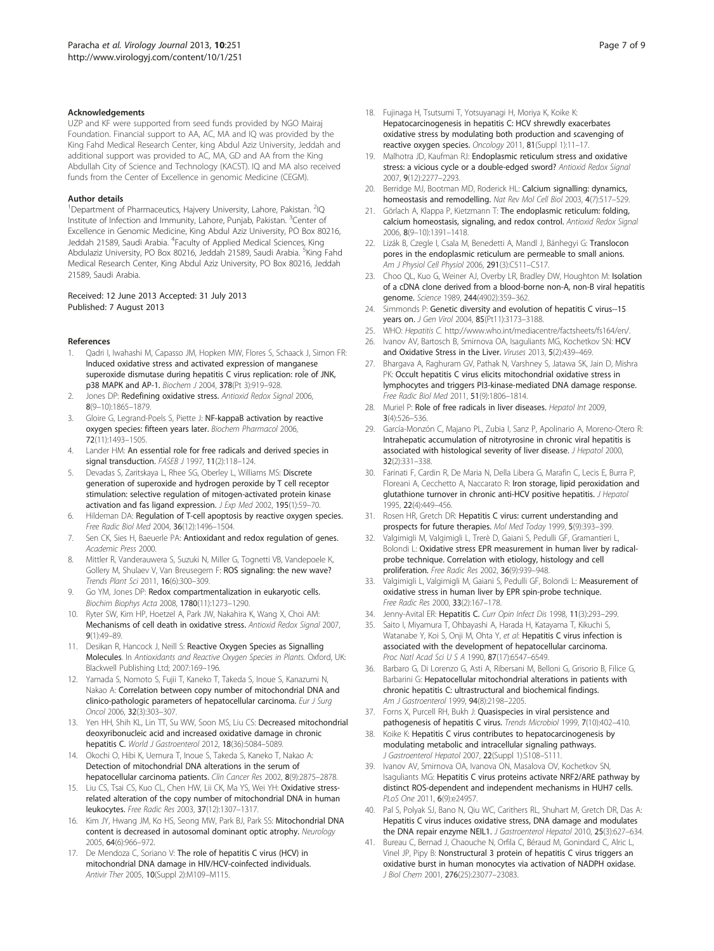#### <span id="page-6-0"></span>Acknowledgements

UZP and KF were supported from seed funds provided by NGO Mairaj Foundation. Financial support to AA, AC, MA and IQ was provided by the King Fahd Medical Research Center, king Abdul Aziz University, Jeddah and additional support was provided to AC, MA, GD and AA from the King Abdullah City of Science and Technology (KACST). IQ and MA also received funds from the Center of Excellence in genomic Medicine (CEGM).

#### Author details

<sup>1</sup>Department of Pharmaceutics, Hajvery University, Lahore, Pakistan. <sup>2</sup>IQ Institute of Infection and Immunity, Lahore, Punjab, Pakistan. <sup>3</sup>Center of Excellence in Genomic Medicine, King Abdul Aziz University, PO Box 80216, Jeddah 21589, Saudi Arabia. <sup>4</sup>Faculty of Applied Medical Sciences, King Abdulaziz University, PO Box 80216, Jeddah 21589, Saudi Arabia. <sup>5</sup>King Fahd Medical Research Center, King Abdul Aziz University, PO Box 80216, Jeddah 21589, Saudi Arabia.

#### Received: 12 June 2013 Accepted: 31 July 2013 Published: 7 August 2013

#### References

- 1. Qadri I, Iwahashi M, Capasso JM, Hopken MW, Flores S, Schaack J, Simon FR: Induced oxidative stress and activated expression of manganese superoxide dismutase during hepatitis C virus replication: role of JNK, p38 MAPK and AP-1. Biochem J 2004, 378(Pt 3):919–928.
- Jones DP: Redefining oxidative stress. Antioxid Redox Signal 2006, 8(9–10):1865–1879.
- Gloire G, Legrand-Poels S, Piette J: NF-kappaB activation by reactive oxygen species: fifteen years later. Biochem Pharmacol 2006, 72(11):1493–1505.
- 4. Lander HM: An essential role for free radicals and derived species in signal transduction. FASEB J 1997, 11(2):118-124.
- 5. Devadas S, Zaritskaya L, Rhee SG, Oberley L, Williams MS: Discrete generation of superoxide and hydrogen peroxide by T cell receptor stimulation: selective regulation of mitogen-activated protein kinase activation and fas ligand expression. J Exp Med 2002, 195(1):59-70.
- 6. Hildeman DA: Regulation of T-cell apoptosis by reactive oxygen species. Free Radic Biol Med 2004, 36(12):1496–1504.
- Sen CK, Sies H, Baeuerle PA: Antioxidant and redox regulation of genes. Academic Press 2000.
- 8. Mittler R, Vanderauwera S, Suzuki N, Miller G, Tognetti VB, Vandepoele K, Gollery M, Shulaev V, Van Breusegem F: ROS signaling: the new wave? Trends Plant Sci 2011, 16(6):300–309.
- Go YM, Jones DP: Redox compartmentalization in eukaryotic cells. Biochim Biophys Acta 2008, 1780(11):1273–1290.
- 10. Ryter SW, Kim HP, Hoetzel A, Park JW, Nakahira K, Wang X, Choi AM: Mechanisms of cell death in oxidative stress. Antioxid Redox Signal 2007, 9(1):49–89.
- 11. Desikan R, Hancock J, Neill S: Reactive Oxygen Species as Signalling Molecules. In Antioxidants and Reactive Oxygen Species in Plants. Oxford, UK: Blackwell Publishing Ltd; 2007:169–196.
- 12. Yamada S, Nomoto S, Fujii T, Kaneko T, Takeda S, Inoue S, Kanazumi N, Nakao A: Correlation between copy number of mitochondrial DNA and clinico-pathologic parameters of hepatocellular carcinoma. Eur J Surg Oncol 2006, 32(3):303–307.
- 13. Yen HH, Shih KL, Lin TT, Su WW, Soon MS, Liu CS: Decreased mitochondrial deoxyribonucleic acid and increased oxidative damage in chronic hepatitis C. World J Gastroenterol 2012, 18(36):5084-5089.
- 14. Okochi O, Hibi K, Uemura T, Inoue S, Takeda S, Kaneko T, Nakao A: Detection of mitochondrial DNA alterations in the serum of hepatocellular carcinoma patients. Clin Cancer Res 2002, 8(9):2875–2878.
- 15. Liu CS, Tsai CS, Kuo CL, Chen HW, Lii CK, Ma YS, Wei YH: Oxidative stressrelated alteration of the copy number of mitochondrial DNA in human leukocytes. Free Radic Res 2003, 37(12):1307–1317.
- 16. Kim JY, Hwang JM, Ko HS, Seong MW, Park BJ, Park SS: Mitochondrial DNA content is decreased in autosomal dominant optic atrophy. Neurology 2005, 64(6):966–972.
- 17. De Mendoza C, Soriano V: The role of hepatitis C virus (HCV) in mitochondrial DNA damage in HIV/HCV-coinfected individuals. Antivir Ther 2005, 10(Suppl 2):M109–M115.
- 18. Fujinaga H, Tsutsumi T, Yotsuyanagi H, Moriya K, Koike K: Hepatocarcinogenesis in hepatitis C: HCV shrewdly exacerbates oxidative stress by modulating both production and scavenging of reactive oxygen species. Oncology 2011, 81(Suppl 1):11–17.
- 19. Malhotra JD, Kaufman RJ: Endoplasmic reticulum stress and oxidative stress: a vicious cycle or a double-edged sword? Antioxid Redox Signal 2007, 9(12):2277–2293.
- 20. Berridge MJ, Bootman MD, Roderick HL: Calcium signalling: dynamics, homeostasis and remodelling. Nat Rev Mol Cell Biol 2003, 4(7):517–529.
- 21. Görlach A, Klappa P, Kietzmann T: The endoplasmic reticulum: folding, calcium homeostasis, signaling, and redox control. Antioxid Redox Signal 2006, 8(9–10):1391–1418.
- 22. Lizák B, Czegle I, Csala M, Benedetti A, Mandl J, Bánhegyi G: Translocon pores in the endoplasmic reticulum are permeable to small anions. Am J Physiol Cell Physiol 2006, 291(3):C511-C517.
- 23. Choo QL, Kuo G, Weiner AJ, Overby LR, Bradley DW, Houghton M: Isolation of a cDNA clone derived from a blood-borne non-A, non-B viral hepatitis genome. Science 1989, 244(4902):359–362.
- 24. Simmonds P: Genetic diversity and evolution of hepatitis C virus--15 years on. J Gen Virol 2004, 85(Pt11):3173–3188.
- 25. WHO: Hepatitis C. [http://www.who.int/mediacentre/factsheets/fs164/en/.](http://www.who.int/mediacentre/factsheets/fs164/en/)
- 26. Ivanov AV, Bartosch B, Smirnova OA, Isaguliants MG, Kochetkov SN: HCV and Oxidative Stress in the Liver. Viruses 2013, 5(2):439–469.
- 27. Bhargava A, Raghuram GV, Pathak N, Varshney S, Jatawa SK, Jain D, Mishra PK: Occult hepatitis C virus elicits mitochondrial oxidative stress in lymphocytes and triggers PI3-kinase-mediated DNA damage response. Free Radic Biol Med 2011, 51(9):1806–1814.
- 28. Muriel P: Role of free radicals in liver diseases. Hepatol Int 2009, 3(4):526–536.
- 29. García-Monzón C, Majano PL, Zubia I, Sanz P, Apolinario A, Moreno-Otero R: Intrahepatic accumulation of nitrotyrosine in chronic viral hepatitis is associated with histological severity of liver disease. J Hepatol 2000, 32(2):331–338.
- 30. Farinati F, Cardin R, De Maria N, Della Libera G, Marafin C, Lecis E, Burra P, Floreani A, Cecchetto A, Naccarato R: Iron storage, lipid peroxidation and glutathione turnover in chronic anti-HCV positive hepatitis. J Hepatol 1995, 22(4):449–456.
- 31. Rosen HR, Gretch DR: Hepatitis C virus: current understanding and prospects for future therapies. Mol Med Today 1999, 5(9):393–399.
- 32. Valgimigli M, Valgimigli L, Trerè D, Gaiani S, Pedulli GF, Gramantieri L, Bolondi L: Oxidative stress EPR measurement in human liver by radicalprobe technique. Correlation with etiology, histology and cell proliferation. Free Radic Res 2002, 36(9):939–948.
- 33. Valgimigli L, Valgimigli M, Gaiani S, Pedulli GF, Bolondi L: Measurement of oxidative stress in human liver by EPR spin-probe technique. Free Radic Res 2000, 33(2):167–178.
- 34. Jenny-Avital ER: Hepatitis C. Curr Opin Infect Dis 1998, 11(3):293-299.
- 35. Saito I, Miyamura T, Ohbayashi A, Harada H, Katayama T, Kikuchi S, Watanabe Y, Koi S, Onji M, Ohta Y, et al: Hepatitis C virus infection is associated with the development of hepatocellular carcinoma. Proc Natl Acad Sci U S A 1990, 87(17):6547–6549.
- 36. Barbaro G, Di Lorenzo G, Asti A, Ribersani M, Belloni G, Grisorio B, Filice G, Barbarini G: Hepatocellular mitochondrial alterations in patients with chronic hepatitis C: ultrastructural and biochemical findings. Am J Gastroenterol 1999, 94(8):2198–2205.
- 37. Forns X, Purcell RH, Bukh J: Quasispecies in viral persistence and pathogenesis of hepatitis C virus. Trends Microbiol 1999, 7(10):402-410.
- 38. Koike K: Hepatitis C virus contributes to hepatocarcinogenesis by modulating metabolic and intracellular signaling pathways. J Gastroenterol Hepatol 2007, 22(Suppl 1):S108–S111.
- 39. Ivanov AV, Smirnova OA, Ivanova ON, Masalova OV, Kochetkov SN, Isaguliants MG: Hepatitis C virus proteins activate NRF2/ARE pathway by distinct ROS-dependent and independent mechanisms in HUH7 cells. PLoS One 2011, 6(9):e24957.
- 40. Pal S, Polyak SJ, Bano N, Qiu WC, Carithers RL, Shuhart M, Gretch DR, Das A: Hepatitis C virus induces oxidative stress, DNA damage and modulates the DNA repair enzyme NEIL1. J Gastroenterol Hepatol 2010, 25(3):627-634.
- 41. Bureau C, Bernad J, Chaouche N, Orfila C, Béraud M, Gonindard C, Alric L, Vinel JP, Pipy B: Nonstructural 3 protein of hepatitis C virus triggers an oxidative burst in human monocytes via activation of NADPH oxidase. J Biol Chem 2001, 276(25):23077–23083.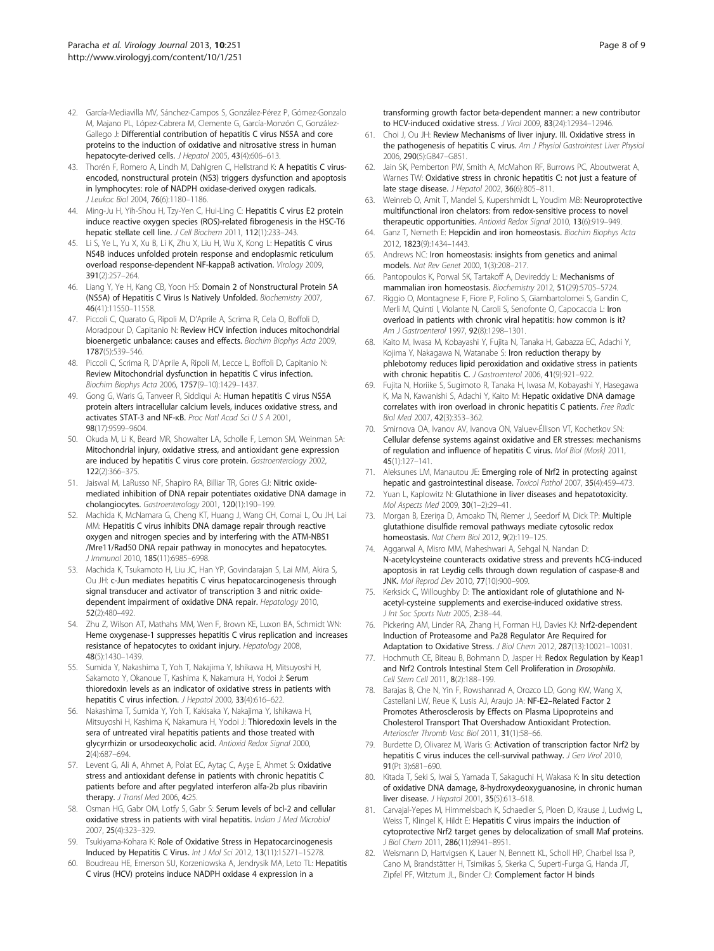- <span id="page-7-0"></span>42. García-Mediavilla MV, Sánchez-Campos S, González-Pérez P, Gómez-Gonzalo M, Majano PL, López-Cabrera M, Clemente G, García-Monzón C, González-Gallego J: Differential contribution of hepatitis C virus NS5A and core proteins to the induction of oxidative and nitrosative stress in human hepatocyte-derived cells. J Hepatol 2005, 43(4):606–613.
- 43. Thorén F, Romero A, Lindh M, Dahlgren C, Hellstrand K: A hepatitis C virusencoded, nonstructural protein (NS3) triggers dysfunction and apoptosis in lymphocytes: role of NADPH oxidase-derived oxygen radicals. J Leukoc Biol 2004, 76(6):1180–1186.
- 44. Ming-Ju H, Yih-Shou H, Tzy-Yen C, Hui-Ling C: Hepatitis C virus E2 protein induce reactive oxygen species (ROS)-related fibrogenesis in the HSC-T6 hepatic stellate cell line. J Cell Biochem 2011, 112(1):233-243.
- 45. Li S, Ye L, Yu X, Xu B, Li K, Zhu X, Liu H, Wu X, Kong L: Hepatitis C virus NS4B induces unfolded protein response and endoplasmic reticulum overload response-dependent NF-kappaB activation. Virology 2009, 391(2):257–264.
- 46. Liang Y, Ye H, Kang CB, Yoon HS: Domain 2 of Nonstructural Protein 5A (NS5A) of Hepatitis C Virus Is Natively Unfolded. Biochemistry 2007, 46(41):11550–11558.
- 47. Piccoli C, Quarato G, Ripoli M, D'Aprile A, Scrima R, Cela O, Boffoli D, Moradpour D, Capitanio N: Review HCV infection induces mitochondrial bioenergetic unbalance: causes and effects. Biochim Biophys Acta 2009, 1787(5):539–546.
- 48. Piccoli C, Scrima R, D'Aprile A, Ripoli M, Lecce L, Boffoli D, Capitanio N: Review Mitochondrial dysfunction in hepatitis C virus infection. Biochim Biophys Acta 2006, 1757(9–10):1429–1437.
- 49. Gong G, Waris G, Tanveer R, Siddiqui A: Human hepatitis C virus NS5A protein alters intracellular calcium levels, induces oxidative stress, and activates STAT-3 and NF-κB. Proc Natl Acad Sci U S A 2001, 98(17):9599–9604.
- 50. Okuda M, Li K, Beard MR, Showalter LA, Scholle F, Lemon SM, Weinman SA: Mitochondrial injury, oxidative stress, and antioxidant gene expression are induced by hepatitis C virus core protein. Gastroenterology 2002, 122(2):366–375.
- 51. Jaiswal M, LaRusso NF, Shapiro RA, Billiar TR, Gores GJ: Nitric oxidemediated inhibition of DNA repair potentiates oxidative DNA damage in cholangiocytes. Gastroenterology 2001, 120(1):190–199.
- 52. Machida K, McNamara G, Cheng KT, Huang J, Wang CH, Comai L, Ou JH, Lai MM: Hepatitis C virus inhibits DNA damage repair through reactive oxygen and nitrogen species and by interfering with the ATM-NBS1 /Mre11/Rad50 DNA repair pathway in monocytes and hepatocytes. J Immunol 2010, 185(11):6985–6998.
- 53. Machida K, Tsukamoto H, Liu JC, Han YP, Govindarajan S, Lai MM, Akira S, Ou JH: c-Jun mediates hepatitis C virus hepatocarcinogenesis through signal transducer and activator of transcription 3 and nitric oxidedependent impairment of oxidative DNA repair. Hepatology 2010, 52(2):480–492.
- 54. Zhu Z, Wilson AT, Mathahs MM, Wen F, Brown KE, Luxon BA, Schmidt WN: Heme oxygenase-1 suppresses hepatitis C virus replication and increases resistance of hepatocytes to oxidant injury. Hepatology 2008, 48(5):1430–1439.
- 55. Sumida Y, Nakashima T, Yoh T, Nakajima Y, Ishikawa H, Mitsuyoshi H, Sakamoto Y, Okanoue T, Kashima K, Nakamura H, Yodoi J: Serum thioredoxin levels as an indicator of oxidative stress in patients with hepatitis C virus infection. J Hepatol 2000, 33(4):616-622.
- 56. Nakashima T, Sumida Y, Yoh T, Kakisaka Y, Nakajima Y, Ishikawa H, Mitsuyoshi H, Kashima K, Nakamura H, Yodoi J: Thioredoxin levels in the sera of untreated viral hepatitis patients and those treated with glycyrrhizin or ursodeoxycholic acid. Antioxid Redox Signal 2000, 2(4):687–694.
- 57. Levent G, Ali A, Ahmet A, Polat EC, Aytaç C, Ayşe E, Ahmet S: Oxidative stress and antioxidant defense in patients with chronic hepatitis C patients before and after pegylated interferon alfa-2b plus ribavirin therapy. J Transl Med 2006, 4:25.
- 58. Osman HG, Gabr OM, Lotfy S, Gabr S: Serum levels of bcl-2 and cellular oxidative stress in patients with viral hepatitis. Indian J Med Microbiol 2007, 25(4):323–329.
- 59. Tsukiyama-Kohara K: Role of Oxidative Stress in Hepatocarcinogenesis Induced by Hepatitis C Virus. Int J Mol Sci 2012, 13(11):15271–15278.
- 60. Boudreau HE, Emerson SU, Korzeniowska A, Jendrysik MA, Leto TL: Hepatitis C virus (HCV) proteins induce NADPH oxidase 4 expression in a

transforming growth factor beta-dependent manner: a new contributor to HCV-induced oxidative stress. J Virol 2009, 83(24):12934–12946.

- 61. Choi J, Ou JH: Review Mechanisms of liver injury. III. Oxidative stress in the pathogenesis of hepatitis C virus. Am J Physiol Gastrointest Liver Physiol 2006, 290(5):G847–G851.
- 62. Jain SK, Pemberton PW, Smith A, McMahon RF, Burrows PC, Aboutwerat A, Warnes TW: Oxidative stress in chronic hepatitis C: not just a feature of late stage disease. J Hepatol 2002, 36(6):805–811.
- 63. Weinreb O, Amit T, Mandel S, Kupershmidt L, Youdim MB: Neuroprotective multifunctional iron chelators: from redox-sensitive process to novel therapeutic opportunities. Antioxid Redox Signal 2010, 13(6):919–949.
- 64. Ganz T, Nemeth E: Hepcidin and iron homeostasis. Biochim Biophys Acta 2012, 1823(9):1434–1443.
- 65. Andrews NC: Iron homeostasis: insights from genetics and animal models. Nat Rev Genet 2000, 1(3):208–217.
- 66. Pantopoulos K, Porwal SK, Tartakoff A, Devireddy L: Mechanisms of mammalian iron homeostasis. Biochemistry 2012, 51(29):5705–5724.
- 67. Riggio O, Montagnese F, Fiore P, Folino S, Giambartolomei S, Gandin C, Merli M, Quinti I, Violante N, Caroli S, Senofonte O, Capocaccia L: Iron overload in patients with chronic viral hepatitis: how common is it? Am J Gastroenterol 1997, 92(8):1298–1301.
- 68. Kaito M, Iwasa M, Kobayashi Y, Fujita N, Tanaka H, Gabazza EC, Adachi Y, Kojima Y, Nakagawa N, Watanabe S: Iron reduction therapy by phlebotomy reduces lipid peroxidation and oxidative stress in patients with chronic hepatitis C. J Gastroenterol 2006, 41(9):921–922.
- 69. Fujita N, Horiike S, Sugimoto R, Tanaka H, Iwasa M, Kobayashi Y, Hasegawa K, Ma N, Kawanishi S, Adachi Y, Kaito M: Hepatic oxidative DNA damage correlates with iron overload in chronic hepatitis C patients. Free Radic Biol Med 2007, 42(3):353–362.
- 70. Smirnova OA, Ivanov AV, Ivanova ON, Valuev-Éllison VT, Kochetkov SN: Cellular defense systems against oxidative and ER stresses: mechanisms of regulation and influence of hepatitis C virus. Mol Biol (Mosk) 2011, 45(1):127–141.
- 71. Aleksunes LM, Manautou JE: Emerging role of Nrf2 in protecting against hepatic and gastrointestinal disease. Toxicol Pathol 2007, 35(4):459–473.
- 72. Yuan L, Kaplowitz N: Glutathione in liver diseases and hepatotoxicity. Mol Aspects Med 2009, 30(1–2):29–41.
- 73. Morgan B, Ezerina D, Amoako TN, Riemer J, Seedorf M, Dick TP: Multiple glutathione disulfide removal pathways mediate cytosolic redox homeostasis. Nat Chem Biol 2012, 9(2):119–125.
- 74. Aggarwal A, Misro MM, Maheshwari A, Sehgal N, Nandan D: N-acetylcysteine counteracts oxidative stress and prevents hCG-induced apoptosis in rat Leydig cells through down regulation of caspase-8 and JNK. Mol Reprod Dev 2010, 77(10):900–909.
- 75. Kerksick C, Willoughby D: The antioxidant role of glutathione and Nacetyl-cysteine supplements and exercise-induced oxidative stress. J Int Soc Sports Nutr 2005, 2:38–44.
- 76. Pickering AM, Linder RA, Zhang H, Forman HJ, Davies KJ: Nrf2-dependent Induction of Proteasome and Pa28 Regulator Are Required for Adaptation to Oxidative Stress. J Biol Chem 2012, 287(13):10021–10031.
- 77. Hochmuth CE, Biteau B, Bohmann D, Jasper H: Redox Regulation by Keap1 and Nrf2 Controls Intestinal Stem Cell Proliferation in Drosophila. Cell Stem Cell 2011, 8(2):188–199.
- 78. Barajas B, Che N, Yin F, Rowshanrad A, Orozco LD, Gong KW, Wang X, Castellani LW, Reue K, Lusis AJ, Araujo JA: NF-E2–Related Factor 2 Promotes Atherosclerosis by Effects on Plasma Lipoproteins and Cholesterol Transport That Overshadow Antioxidant Protection. Arterioscler Thromb Vasc Biol 2011, 31(1):58–66.
- 79. Burdette D, Olivarez M, Waris G: Activation of transcription factor Nrf2 by hepatitis C virus induces the cell-survival pathway. J Gen Virol 2010, 91(Pt 3):681–690.
- 80. Kitada T, Seki S, Iwai S, Yamada T, Sakaguchi H, Wakasa K: In situ detection of oxidative DNA damage, 8-hydroxydeoxyguanosine, in chronic human liver disease. J Hepatol 2001, 35(5):613–618.
- 81. Carvajal-Yepes M, Himmelsbach K, Schaedler S, Ploen D, Krause J, Ludwig L, Weiss T, Klingel K, Hildt E: Hepatitis C virus impairs the induction of cytoprotective Nrf2 target genes by delocalization of small Maf proteins. J Biol Chem 2011, 286(11):8941–8951.
- 82. Weismann D, Hartvigsen K, Lauer N, Bennett KL, Scholl HP, Charbel Issa P, Cano M, Brandstätter H, Tsimikas S, Skerka C, Superti-Furga G, Handa JT, Zipfel PF, Witztum JL, Binder CJ: Complement factor H binds